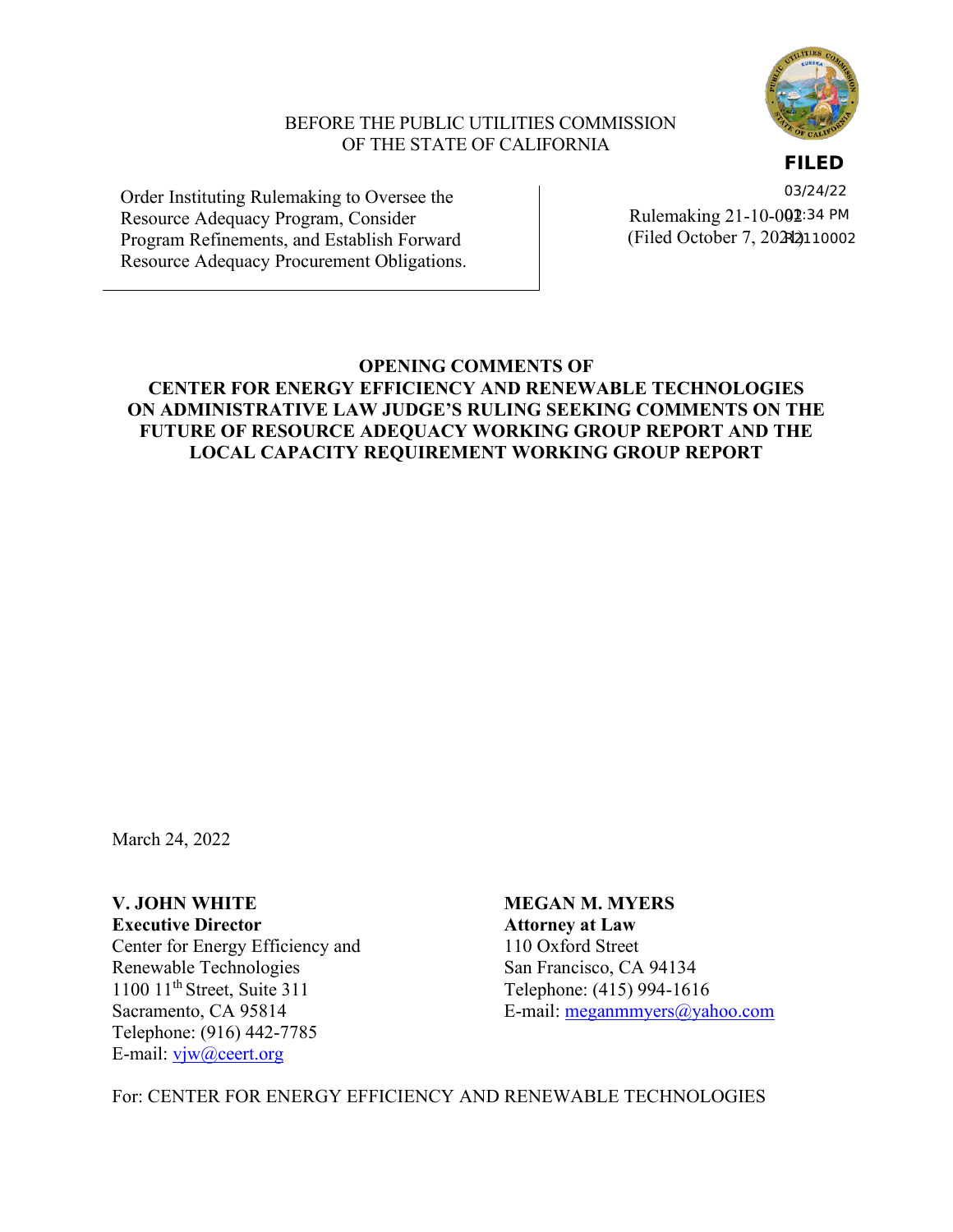

### BEFORE THE PUBLIC UTILITIES COMMISSION OF THE STATE OF CALIFORNIA

**FILED**

Order Instituting Rulemaking to Oversee the Resource Adequacy Program, Consider Program Refinements, and Establish Forward Resource Adequacy Procurement Obligations.

Rulemaking 21-10-0**02**:34 PM (Filed October 7, 2021) R211000203/24/22

# **OPENING COMMENTS OF CENTER FOR ENERGY EFFICIENCY AND RENEWABLE TECHNOLOGIES ON ADMINISTRATIVE LAW JUDGE'S RULING SEEKING COMMENTS ON THE FUTURE OF RESOURCE ADEQUACY WORKING GROUP REPORT AND THE LOCAL CAPACITY REQUIREMENT WORKING GROUP REPORT**

March 24, 2022

Center for Energy Efficiency and 110 Oxford Street<br>
Renewable Technologies<br>
San Francisco, CA Renewable Technologies<br>
1100 11<sup>th</sup> Street. Suite 311<br>
Telephone: (415) 994-161

Telephone: (916) 442-7785 E-mail: [vjw@ceert.org](mailto:vjw@ceert.org)

**V. JOHN WHITE MEGAN M. MYERS Executive Director Attorney at Law** Telephone: (415) 994-1616 Sacramento, CA 95814 E-mail: [meganmmyers@yahoo.com](mailto:meganmmyers@yahoo.com)

For: CENTER FOR ENERGY EFFICIENCY AND RENEWABLE TECHNOLOGIES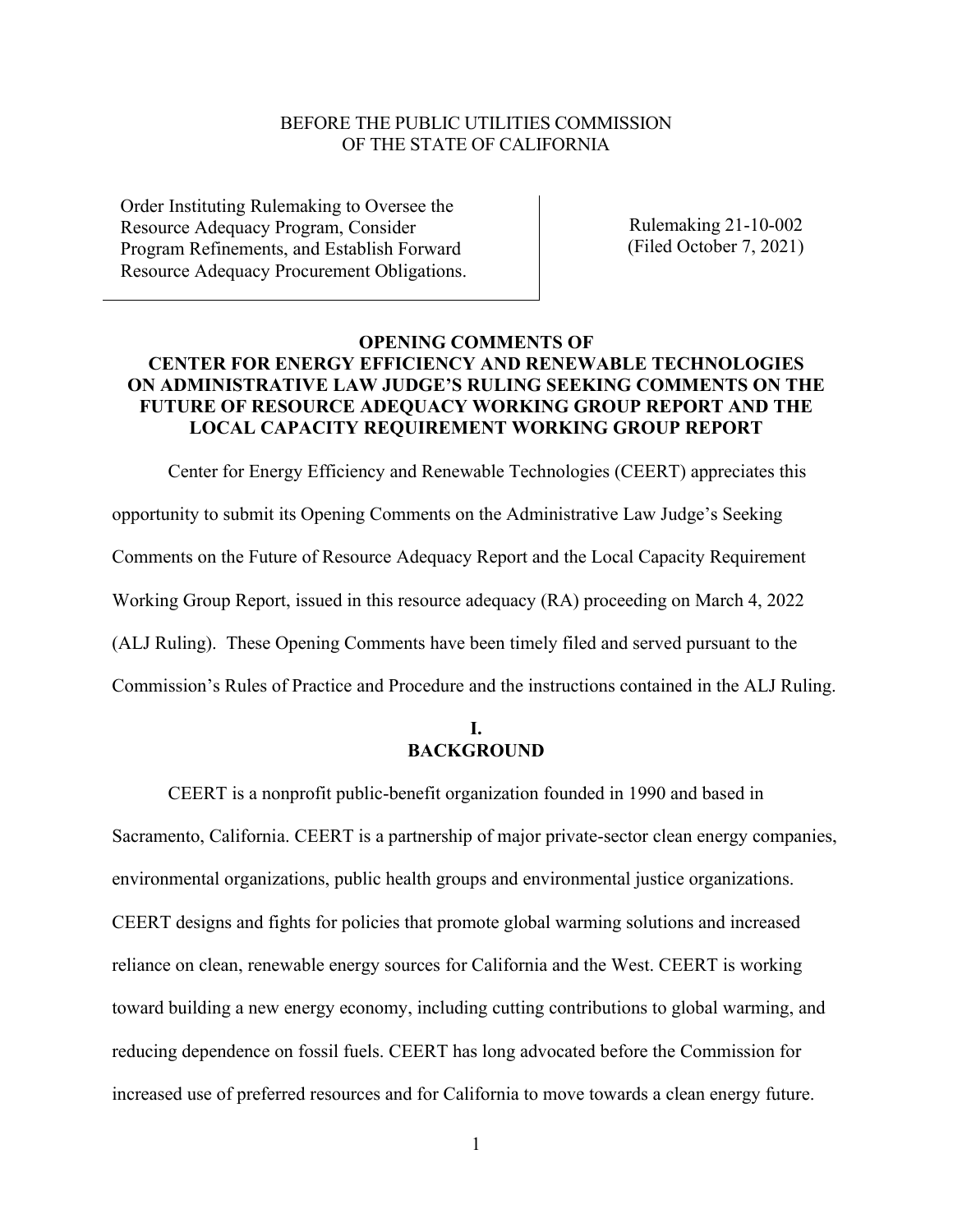#### BEFORE THE PUBLIC UTILITIES COMMISSION OF THE STATE OF CALIFORNIA

Order Instituting Rulemaking to Oversee the Resource Adequacy Program, Consider Program Refinements, and Establish Forward Resource Adequacy Procurement Obligations.

Rulemaking 21-10-002 (Filed October 7, 2021)

# **OPENING COMMENTS OF CENTER FOR ENERGY EFFICIENCY AND RENEWABLE TECHNOLOGIES ON ADMINISTRATIVE LAW JUDGE'S RULING SEEKING COMMENTS ON THE FUTURE OF RESOURCE ADEQUACY WORKING GROUP REPORT AND THE LOCAL CAPACITY REQUIREMENT WORKING GROUP REPORT**

Center for Energy Efficiency and Renewable Technologies (CEERT) appreciates this opportunity to submit its Opening Comments on the Administrative Law Judge's Seeking Comments on the Future of Resource Adequacy Report and the Local Capacity Requirement Working Group Report, issued in this resource adequacy (RA) proceeding on March 4, 2022 (ALJ Ruling). These Opening Comments have been timely filed and served pursuant to the Commission's Rules of Practice and Procedure and the instructions contained in the ALJ Ruling.

### **I. BACKGROUND**

CEERT is a nonprofit public-benefit organization founded in 1990 and based in Sacramento, California. CEERT is a partnership of major private-sector clean energy companies, environmental organizations, public health groups and environmental justice organizations. CEERT designs and fights for policies that promote global warming solutions and increased reliance on clean, renewable energy sources for California and the West. CEERT is working toward building a new energy economy, including cutting contributions to global warming, and reducing dependence on fossil fuels. CEERT has long advocated before the Commission for increased use of preferred resources and for California to move towards a clean energy future.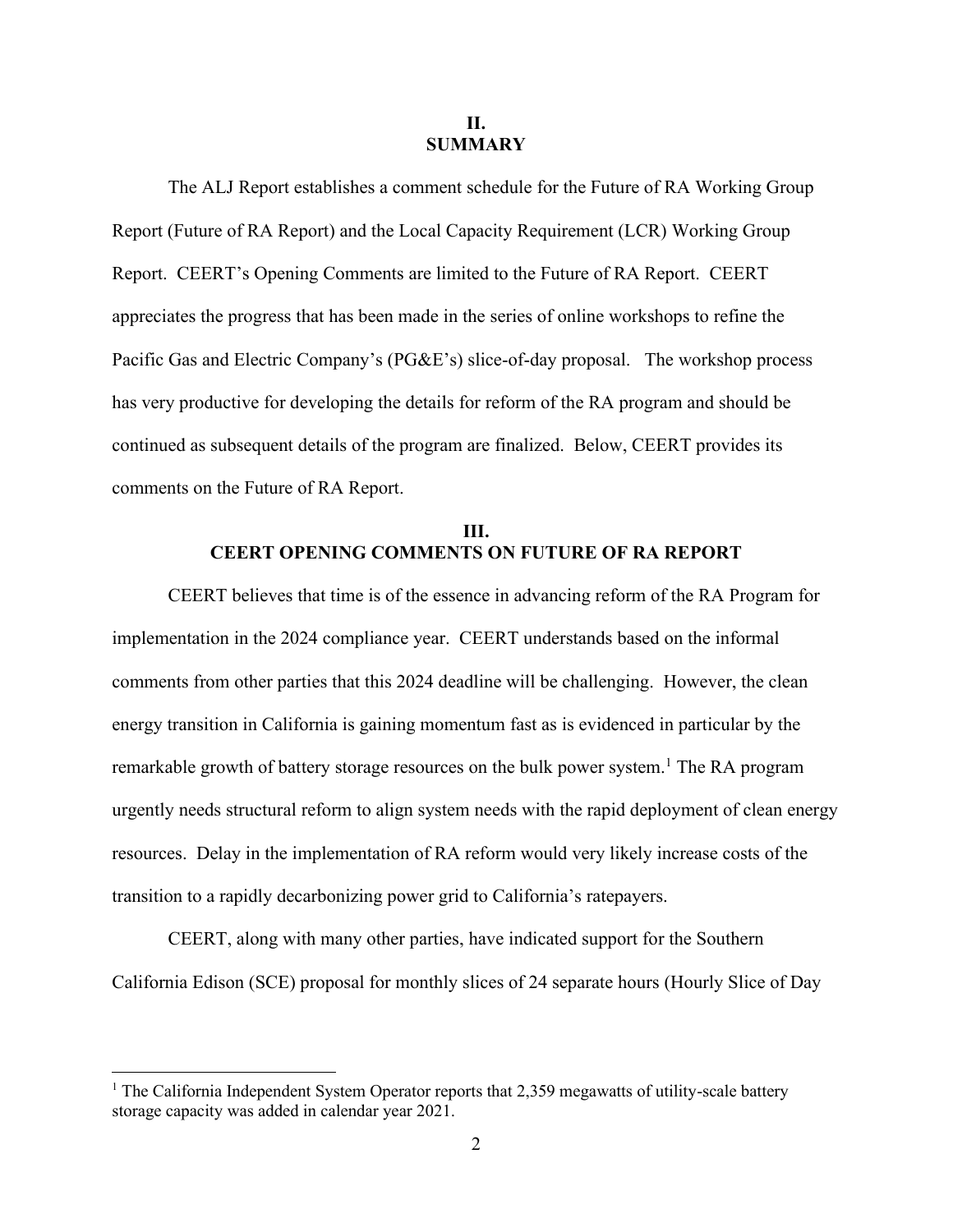#### **II. SUMMARY**

The ALJ Report establishes a comment schedule for the Future of RA Working Group Report (Future of RA Report) and the Local Capacity Requirement (LCR) Working Group Report. CEERT's Opening Comments are limited to the Future of RA Report. CEERT appreciates the progress that has been made in the series of online workshops to refine the Pacific Gas and Electric Company's (PG&E's) slice-of-day proposal. The workshop process has very productive for developing the details for reform of the RA program and should be continued as subsequent details of the program are finalized. Below, CEERT provides its comments on the Future of RA Report.

# **III. CEERT OPENING COMMENTS ON FUTURE OF RA REPORT**

CEERT believes that time is of the essence in advancing reform of the RA Program for implementation in the 2024 compliance year. CEERT understands based on the informal comments from other parties that this 2024 deadline will be challenging. However, the clean energy transition in California is gaining momentum fast as is evidenced in particular by the remarkable growth of battery storage resources on the bulk power system.<sup>1</sup> The RA program urgently needs structural reform to align system needs with the rapid deployment of clean energy resources. Delay in the implementation of RA reform would very likely increase costs of the transition to a rapidly decarbonizing power grid to California's ratepayers.

CEERT, along with many other parties, have indicated support for the Southern California Edison (SCE) proposal for monthly slices of 24 separate hours (Hourly Slice of Day

<sup>&</sup>lt;sup>1</sup> The California Independent System Operator reports that 2,359 megawatts of utility-scale battery storage capacity was added in calendar year 2021.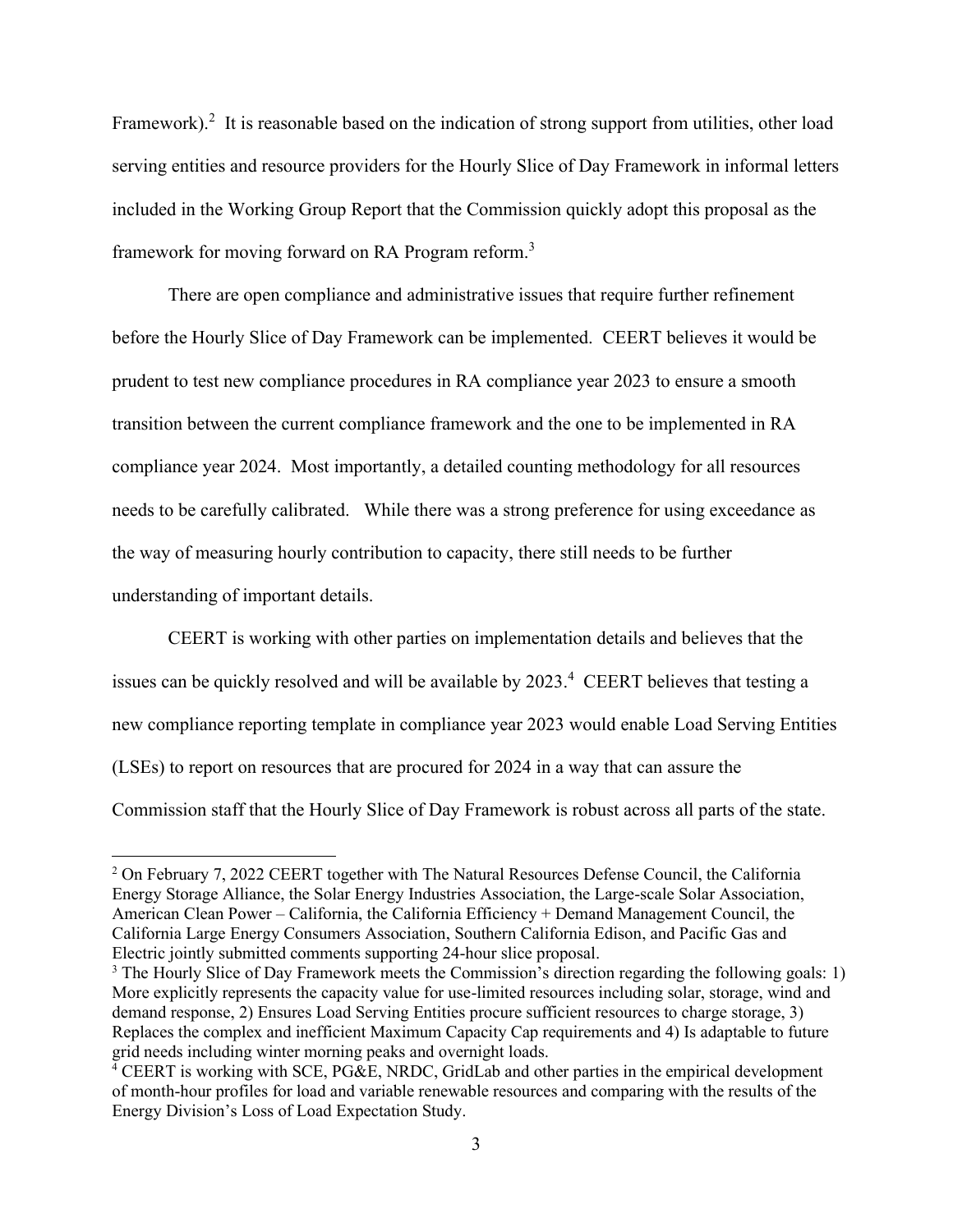Framework).<sup>2</sup> It is reasonable based on the indication of strong support from utilities, other load serving entities and resource providers for the Hourly Slice of Day Framework in informal letters included in the Working Group Report that the Commission quickly adopt this proposal as the framework for moving forward on RA Program reform.<sup>3</sup>

There are open compliance and administrative issues that require further refinement before the Hourly Slice of Day Framework can be implemented. CEERT believes it would be prudent to test new compliance procedures in RA compliance year 2023 to ensure a smooth transition between the current compliance framework and the one to be implemented in RA compliance year 2024. Most importantly, a detailed counting methodology for all resources needs to be carefully calibrated. While there was a strong preference for using exceedance as the way of measuring hourly contribution to capacity, there still needs to be further understanding of important details.

CEERT is working with other parties on implementation details and believes that the issues can be quickly resolved and will be available by 2023. 4 CEERT believes that testing a new compliance reporting template in compliance year 2023 would enable Load Serving Entities (LSEs) to report on resources that are procured for 2024 in a way that can assure the Commission staff that the Hourly Slice of Day Framework is robust across all parts of the state.

<sup>&</sup>lt;sup>2</sup> On February 7, 2022 CEERT together with The Natural Resources Defense Council, the California Energy Storage Alliance, the Solar Energy Industries Association, the Large-scale Solar Association, American Clean Power – California, the California Efficiency + Demand Management Council, the California Large Energy Consumers Association, Southern California Edison, and Pacific Gas and Electric jointly submitted comments supporting 24-hour slice proposal.

<sup>&</sup>lt;sup>3</sup> The Hourly Slice of Day Framework meets the Commission's direction regarding the following goals: 1) More explicitly represents the capacity value for use-limited resources including solar, storage, wind and demand response, 2) Ensures Load Serving Entities procure sufficient resources to charge storage, 3) Replaces the complex and inefficient Maximum Capacity Cap requirements and 4) Is adaptable to future grid needs including winter morning peaks and overnight loads.

<sup>4</sup> CEERT is working with SCE, PG&E, NRDC, GridLab and other parties in the empirical development of month-hour profiles for load and variable renewable resources and comparing with the results of the Energy Division's Loss of Load Expectation Study.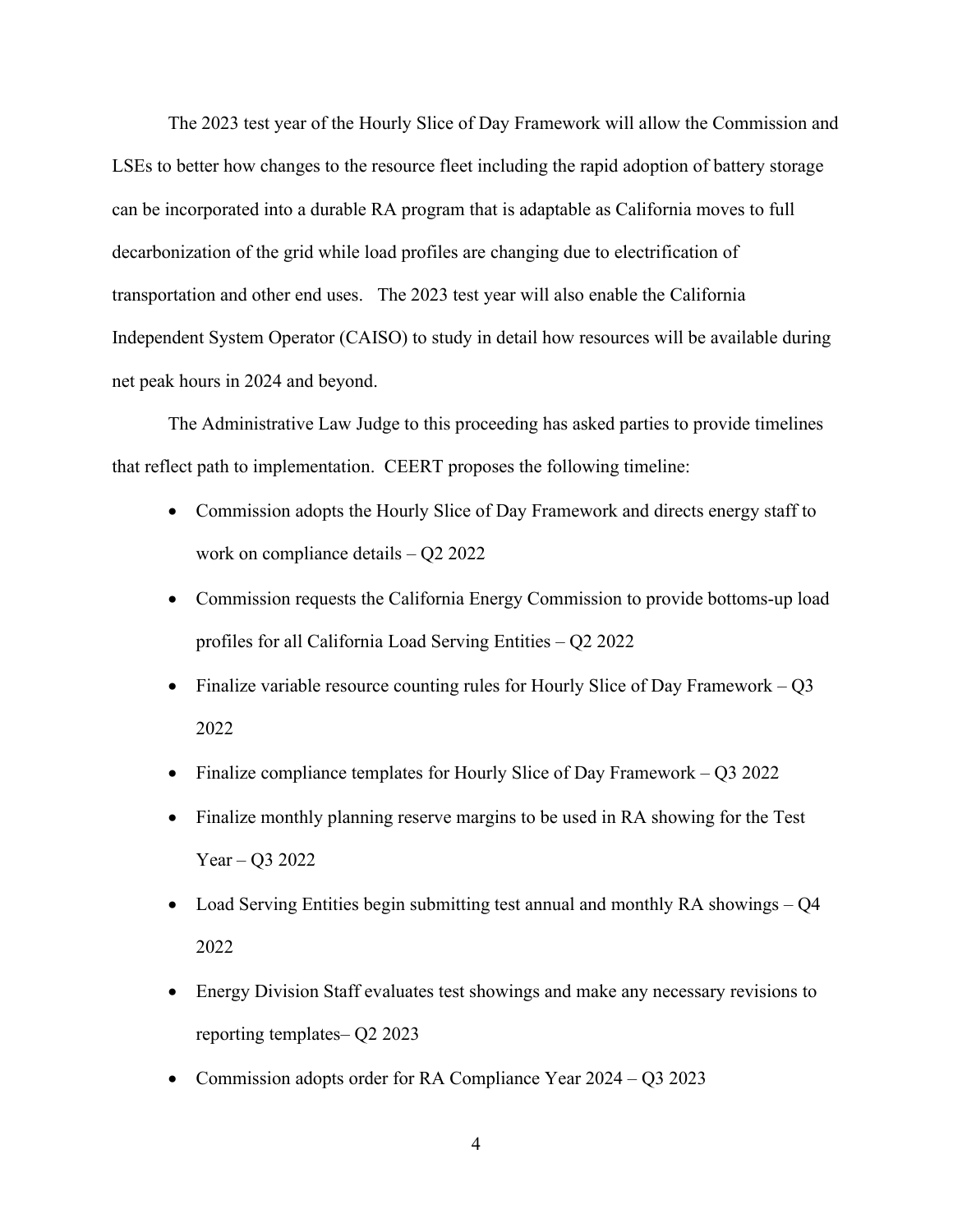The 2023 test year of the Hourly Slice of Day Framework will allow the Commission and LSEs to better how changes to the resource fleet including the rapid adoption of battery storage can be incorporated into a durable RA program that is adaptable as California moves to full decarbonization of the grid while load profiles are changing due to electrification of transportation and other end uses. The 2023 test year will also enable the California Independent System Operator (CAISO) to study in detail how resources will be available during net peak hours in 2024 and beyond.

The Administrative Law Judge to this proceeding has asked parties to provide timelines that reflect path to implementation. CEERT proposes the following timeline:

- Commission adopts the Hourly Slice of Day Framework and directs energy staff to work on compliance details – Q2 2022
- Commission requests the California Energy Commission to provide bottoms-up load profiles for all California Load Serving Entities – Q2 2022
- Finalize variable resource counting rules for Hourly Slice of Day Framework Q3 2022
- Finalize compliance templates for Hourly Slice of Day Framework  $-$  Q3 2022
- Finalize monthly planning reserve margins to be used in RA showing for the Test Year – Q3 2022
- Load Serving Entities begin submitting test annual and monthly RA showings Q4 2022
- Energy Division Staff evaluates test showings and make any necessary revisions to reporting templates– Q2 2023
- Commission adopts order for RA Compliance Year 2024 Q3 2023
	- 4